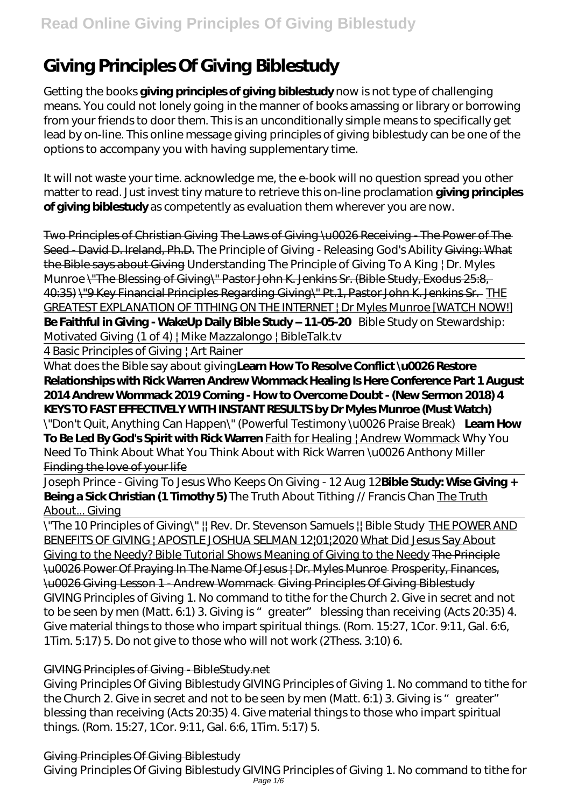# **Giving Principles Of Giving Biblestudy**

Getting the books **giving principles of giving biblestudy** now is not type of challenging means. You could not lonely going in the manner of books amassing or library or borrowing from your friends to door them. This is an unconditionally simple means to specifically get lead by on-line. This online message giving principles of giving biblestudy can be one of the options to accompany you with having supplementary time.

It will not waste your time. acknowledge me, the e-book will no question spread you other matter to read. Just invest tiny mature to retrieve this on-line proclamation **giving principles of giving biblestudy** as competently as evaluation them wherever you are now.

Two Principles of Christian Giving The Laws of Giving \u0026 Receiving - The Power of The Seed - David D. Ireland, Ph.D. The Principle of Giving - Releasing God's Ability Giving: What the Bible says about Giving Understanding The Principle of Giving To A King | Dr. Myles Munroe \"The Blessing of Giving\" Pastor John K. Jenkins Sr. (Bible Study, Exodus 25:8, 40:35) \"9 Key Financial Principles Regarding Giving\" Pt.1, Pastor John K. Jenkins Sr. THE GREATEST EXPLANATION OF TITHING ON THE INTERNET | Dr Myles Munroe [WATCH NOW!] **Be Faithful in Giving - WakeUp Daily Bible Study – 11-05-20** Bible Study on Stewardship: Motivated Giving (1 of 4) | Mike Mazzalongo | BibleTalk.tv

4 Basic Principles of Giving | Art Rainer

What does the Bible say about giving**Learn How To Resolve Conflict \u0026 Restore Relationships with Rick Warren Andrew Wommack Healing Is Here Conference Part 1 August 2014 Andrew Wommack 2019 Coming - How to Overcome Doubt - (New Sermon 2018) 4 KEYS TO FAST EFFECTIVELY WITH INSTANT RESULTS by Dr Myles Munroe (Must Watch)** *\"Don't Quit, Anything Can Happen\" (Powerful Testimony \u0026 Praise Break)* **Learn How To Be Led By God's Spirit with Rick Warren** Faith for Healing | Andrew Wommack *Why You Need To Think About What You Think About with Rick Warren \u0026 Anthony Miller* Finding the love of your life

Joseph Prince - Giving To Jesus Who Keeps On Giving - 12 Aug 12**Bible Study: Wise Giving + Being a Sick Christian (1 Timothy 5)** The Truth About Tithing // Francis Chan The Truth About... Giving

\"The 10 Principles of Giving\" || Rev. Dr. Stevenson Samuels || Bible Study THE POWER AND BENEFITS OF GIVING | APOSTLE JOSHUA SELMAN 12|01|2020 What Did Jesus Say About Giving to the Needy? Bible Tutorial Shows Meaning of Giving to the Needy The Principle \u0026 Power Of Praying In The Name Of Jesus | Dr. Myles Munroe Prosperity, Finances, \u0026 Giving Lesson 1 - Andrew Wommack Giving Principles Of Giving Biblestudy GIVING Principles of Giving 1. No command to tithe for the Church 2. Give in secret and not to be seen by men (Matt.  $6.1$ ) 3. Giving is "greater" blessing than receiving (Acts  $20.35$ ) 4. Give material things to those who impart spiritual things. (Rom. 15:27, 1Cor. 9:11, Gal. 6:6, 1Tim. 5:17) 5. Do not give to those who will not work (2Thess. 3:10) 6.

### GIVING Principles of Giving - BibleStudy.net

Giving Principles Of Giving Biblestudy GIVING Principles of Giving 1. No command to tithe for the Church 2. Give in secret and not to be seen by men (Matt. 6:1) 3. Giving is "greater" blessing than receiving (Acts 20:35) 4. Give material things to those who impart spiritual things. (Rom. 15:27, 1Cor. 9:11, Gal. 6:6, 1Tim. 5:17) 5.

### Giving Principles Of Giving Biblestudy

Giving Principles Of Giving Biblestudy GIVING Principles of Giving 1. No command to tithe for Page  $1/6$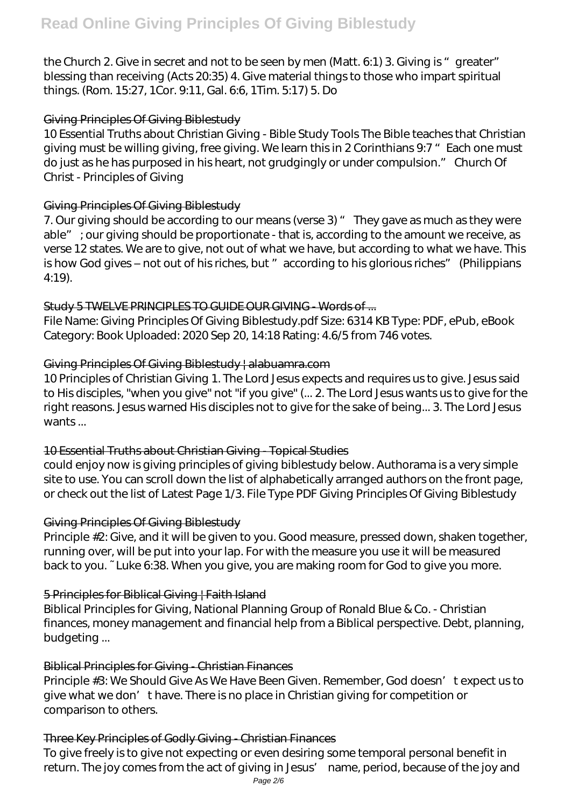the Church 2. Give in secret and not to be seen by men (Matt. 6:1) 3. Giving is "greater" blessing than receiving (Acts 20:35) 4. Give material things to those who impart spiritual things. (Rom. 15:27, 1Cor. 9:11, Gal. 6:6, 1Tim. 5:17) 5. Do

#### Giving Principles Of Giving Biblestudy

10 Essential Truths about Christian Giving - Bible Study Tools The Bible teaches that Christian giving must be willing giving, free giving. We learn this in 2 Corinthians 9:7 " Each one must do just as he has purposed in his heart, not grudgingly or under compulsion." Church Of Christ - Principles of Giving

#### Giving Principles Of Giving Biblestudy

7. Our giving should be according to our means (verse 3) " They gave as much as they were able"; our giving should be proportionate - that is, according to the amount we receive, as verse 12 states. We are to give, not out of what we have, but according to what we have. This is how God gives - not out of his riches, but " according to his glorious riches" (Philippians 4:19).

#### Study 5 TWELVE PRINCIPLES TO GUIDE OUR GIVING - Words of ...

File Name: Giving Principles Of Giving Biblestudy.pdf Size: 6314 KB Type: PDF, ePub, eBook Category: Book Uploaded: 2020 Sep 20, 14:18 Rating: 4.6/5 from 746 votes.

#### Giving Principles Of Giving Biblestudy | alabuamra.com

10 Principles of Christian Giving 1. The Lord Jesus expects and requires us to give. Jesus said to His disciples, "when you give" not "if you give" (... 2. The Lord Jesus wants us to give for the right reasons. Jesus warned His disciples not to give for the sake of being... 3. The Lord Jesus wants ...

#### 10 Essential Truths about Christian Giving - Topical Studies

could enjoy now is giving principles of giving biblestudy below. Authorama is a very simple site to use. You can scroll down the list of alphabetically arranged authors on the front page, or check out the list of Latest Page 1/3. File Type PDF Giving Principles Of Giving Biblestudy

#### Giving Principles Of Giving Biblestudy

Principle #2: Give, and it will be given to you. Good measure, pressed down, shaken together, running over, will be put into your lap. For with the measure you use it will be measured back to you. ~ Luke 6:38. When you give, you are making room for God to give you more.

#### 5 Principles for Biblical Giving | Faith Island

Biblical Principles for Giving, National Planning Group of Ronald Blue & Co. - Christian finances, money management and financial help from a Biblical perspective. Debt, planning, budgeting ...

#### Biblical Principles for Giving - Christian Finances

Principle #3: We Should Give As We Have Been Given. Remember, God doesn' texpect us to give what we don't have. There is no place in Christian giving for competition or comparison to others.

#### Three Key Principles of Godly Giving - Christian Finances

To give freely is to give not expecting or even desiring some temporal personal benefit in return. The joy comes from the act of giving in Jesus' name, period, because of the joy and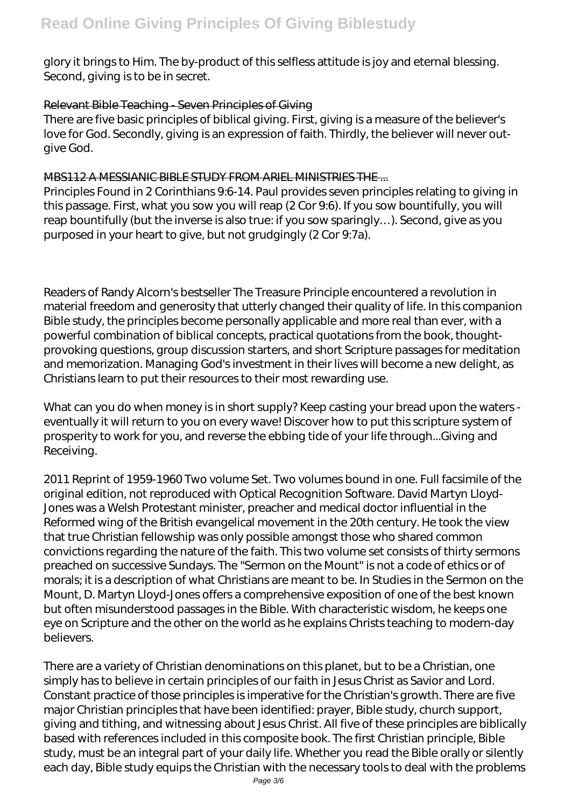glory it brings to Him. The by-product of this selfless attitude is joy and eternal blessing. Second, giving is to be in secret.

#### Relevant Bible Teaching - Seven Principles of Giving

There are five basic principles of biblical giving. First, giving is a measure of the believer's love for God. Secondly, giving is an expression of faith. Thirdly, the believer will never outgive God.

#### MBS112 A MESSIANIC BIBLE STUDY FROM ARIEL MINISTRIES THE ...

Principles Found in 2 Corinthians 9:6-14. Paul provides seven principles relating to giving in this passage. First, what you sow you will reap (2 Cor 9:6). If you sow bountifully, you will reap bountifully (but the inverse is also true: if you sow sparingly…). Second, give as you purposed in your heart to give, but not grudgingly (2 Cor 9:7a).

Readers of Randy Alcorn's bestseller The Treasure Principle encountered a revolution in material freedom and generosity that utterly changed their quality of life. In this companion Bible study, the principles become personally applicable and more real than ever, with a powerful combination of biblical concepts, practical quotations from the book, thoughtprovoking questions, group discussion starters, and short Scripture passages for meditation and memorization. Managing God's investment in their lives will become a new delight, as Christians learn to put their resources to their most rewarding use.

What can you do when money is in short supply? Keep casting your bread upon the waters eventually it will return to you on every wave! Discover how to put this scripture system of prosperity to work for you, and reverse the ebbing tide of your life through...Giving and Receiving.

2011 Reprint of 1959-1960 Two volume Set. Two volumes bound in one. Full facsimile of the original edition, not reproduced with Optical Recognition Software. David Martyn Lloyd-Jones was a Welsh Protestant minister, preacher and medical doctor influential in the Reformed wing of the British evangelical movement in the 20th century. He took the view that true Christian fellowship was only possible amongst those who shared common convictions regarding the nature of the faith. This two volume set consists of thirty sermons preached on successive Sundays. The "Sermon on the Mount" is not a code of ethics or of morals; it is a description of what Christians are meant to be. In Studies in the Sermon on the Mount, D. Martyn Lloyd-Jones offers a comprehensive exposition of one of the best known but often misunderstood passages in the Bible. With characteristic wisdom, he keeps one eye on Scripture and the other on the world as he explains Christs teaching to modern-day believers.

There are a variety of Christian denominations on this planet, but to be a Christian, one simply has to believe in certain principles of our faith in Jesus Christ as Savior and Lord. Constant practice of those principles is imperative for the Christian's growth. There are five major Christian principles that have been identified: prayer, Bible study, church support, giving and tithing, and witnessing about Jesus Christ. All five of these principles are biblically based with references included in this composite book. The first Christian principle, Bible study, must be an integral part of your daily life. Whether you read the Bible orally or silently each day, Bible study equips the Christian with the necessary tools to deal with the problems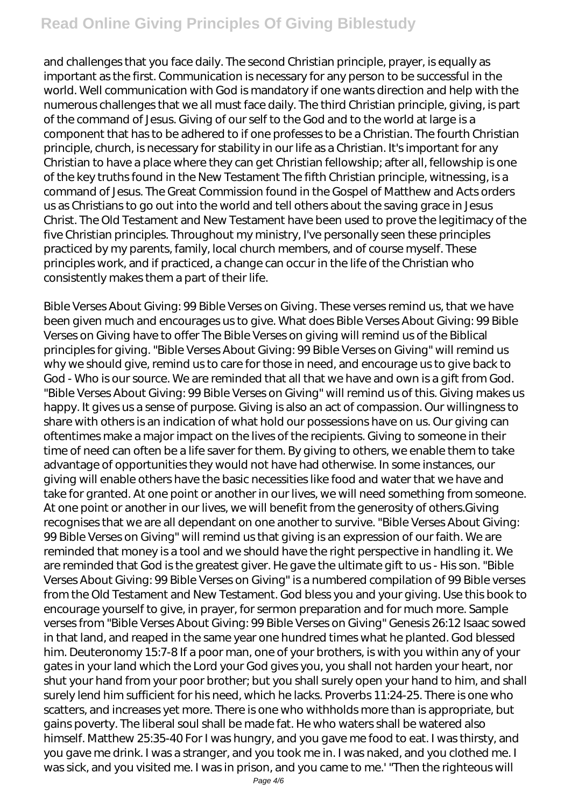# **Read Online Giving Principles Of Giving Biblestudy**

and challenges that you face daily. The second Christian principle, prayer, is equally as important as the first. Communication is necessary for any person to be successful in the world. Well communication with God is mandatory if one wants direction and help with the numerous challenges that we all must face daily. The third Christian principle, giving, is part of the command of Jesus. Giving of our self to the God and to the world at large is a component that has to be adhered to if one professes to be a Christian. The fourth Christian principle, church, is necessary for stability in our life as a Christian. It's important for any Christian to have a place where they can get Christian fellowship; after all, fellowship is one of the key truths found in the New Testament The fifth Christian principle, witnessing, is a command of Jesus. The Great Commission found in the Gospel of Matthew and Acts orders us as Christians to go out into the world and tell others about the saving grace in Jesus Christ. The Old Testament and New Testament have been used to prove the legitimacy of the five Christian principles. Throughout my ministry, I've personally seen these principles practiced by my parents, family, local church members, and of course myself. These principles work, and if practiced, a change can occur in the life of the Christian who consistently makes them a part of their life.

Bible Verses About Giving: 99 Bible Verses on Giving. These verses remind us, that we have been given much and encourages us to give. What does Bible Verses About Giving: 99 Bible Verses on Giving have to offer The Bible Verses on giving will remind us of the Biblical principles for giving. "Bible Verses About Giving: 99 Bible Verses on Giving" will remind us why we should give, remind us to care for those in need, and encourage us to give back to God - Who is our source. We are reminded that all that we have and own is a gift from God. "Bible Verses About Giving: 99 Bible Verses on Giving" will remind us of this. Giving makes us happy. It gives us a sense of purpose. Giving is also an act of compassion. Our willingness to share with others is an indication of what hold our possessions have on us. Our giving can oftentimes make a major impact on the lives of the recipients. Giving to someone in their time of need can often be a life saver for them. By giving to others, we enable them to take advantage of opportunities they would not have had otherwise. In some instances, our giving will enable others have the basic necessities like food and water that we have and take for granted. At one point or another in our lives, we will need something from someone. At one point or another in our lives, we will benefit from the generosity of others.Giving recognises that we are all dependant on one another to survive. "Bible Verses About Giving: 99 Bible Verses on Giving" will remind us that giving is an expression of our faith. We are reminded that money is a tool and we should have the right perspective in handling it. We are reminded that God is the greatest giver. He gave the ultimate gift to us - His son. "Bible Verses About Giving: 99 Bible Verses on Giving" is a numbered compilation of 99 Bible verses from the Old Testament and New Testament. God bless you and your giving. Use this book to encourage yourself to give, in prayer, for sermon preparation and for much more. Sample verses from "Bible Verses About Giving: 99 Bible Verses on Giving" Genesis 26:12 Isaac sowed in that land, and reaped in the same year one hundred times what he planted. God blessed him. Deuteronomy 15:7-8 If a poor man, one of your brothers, is with you within any of your gates in your land which the Lord your God gives you, you shall not harden your heart, nor shut your hand from your poor brother; but you shall surely open your hand to him, and shall surely lend him sufficient for his need, which he lacks. Proverbs 11:24-25. There is one who scatters, and increases yet more. There is one who withholds more than is appropriate, but gains poverty. The liberal soul shall be made fat. He who waters shall be watered also himself. Matthew 25:35-40 For I was hungry, and you gave me food to eat. I was thirsty, and you gave me drink. I was a stranger, and you took me in. I was naked, and you clothed me. I was sick, and you visited me. I was in prison, and you came to me.' "Then the righteous will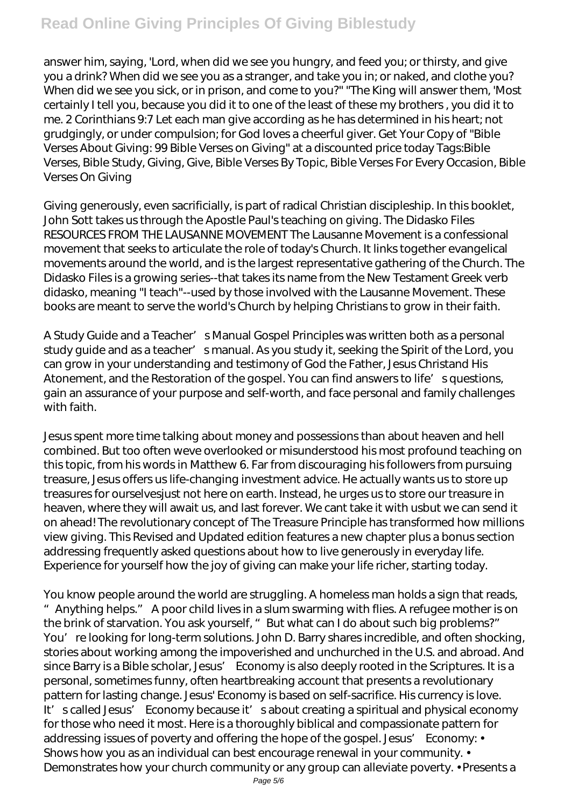# **Read Online Giving Principles Of Giving Biblestudy**

answer him, saying, 'Lord, when did we see you hungry, and feed you; or thirsty, and give you a drink? When did we see you as a stranger, and take you in; or naked, and clothe you? When did we see you sick, or in prison, and come to you?" "The King will answer them, 'Most certainly I tell you, because you did it to one of the least of these my brothers , you did it to me. 2 Corinthians 9:7 Let each man give according as he has determined in his heart; not grudgingly, or under compulsion; for God loves a cheerful giver. Get Your Copy of "Bible Verses About Giving: 99 Bible Verses on Giving" at a discounted price today Tags:Bible Verses, Bible Study, Giving, Give, Bible Verses By Topic, Bible Verses For Every Occasion, Bible Verses On Giving

Giving generously, even sacrificially, is part of radical Christian discipleship. In this booklet, John Sott takes us through the Apostle Paul's teaching on giving. The Didasko Files RESOURCES FROM THE LAUSANNE MOVEMENT The Lausanne Movement is a confessional movement that seeks to articulate the role of today's Church. It links together evangelical movements around the world, and is the largest representative gathering of the Church. The Didasko Files is a growing series--that takes its name from the New Testament Greek verb didasko, meaning "I teach"--used by those involved with the Lausanne Movement. These books are meant to serve the world's Church by helping Christians to grow in their faith.

A Study Guide and a Teacher' s Manual Gospel Principles was written both as a personal study guide and as a teacher' smanual. As you study it, seeking the Spirit of the Lord, you can grow in your understanding and testimony of God the Father, Jesus Christand His Atonement, and the Restoration of the gospel. You can find answers to life' squestions, gain an assurance of your purpose and self-worth, and face personal and family challenges with faith.

Jesus spent more time talking about money and possessions than about heaven and hell combined. But too often weve overlooked or misunderstood his most profound teaching on this topic, from his words in Matthew 6. Far from discouraging his followers from pursuing treasure, Jesus offers us life-changing investment advice. He actually wants us to store up treasures for ourselvesjust not here on earth. Instead, he urges us to store our treasure in heaven, where they will await us, and last forever. We cant take it with usbut we can send it on ahead! The revolutionary concept of The Treasure Principle has transformed how millions view giving. This Revised and Updated edition features a new chapter plus a bonus section addressing frequently asked questions about how to live generously in everyday life. Experience for yourself how the joy of giving can make your life richer, starting today.

You know people around the world are struggling. A homeless man holds a sign that reads, "Anything helps." A poor child lives in a slum swarming with flies. A refugee mother is on the brink of starvation. You ask yourself, " But what can I do about such big problems?" You're looking for long-term solutions. John D. Barry shares incredible, and often shocking, stories about working among the impoverished and unchurched in the U.S. and abroad. And since Barry is a Bible scholar, Jesus' Economy is also deeply rooted in the Scriptures. It is a personal, sometimes funny, often heartbreaking account that presents a revolutionary pattern for lasting change. Jesus' Economy is based on self-sacrifice. His currency is love. It' scalled Jesus' Economy because it' sabout creating a spiritual and physical economy for those who need it most. Here is a thoroughly biblical and compassionate pattern for addressing issues of poverty and offering the hope of the gospel. Jesus' Economy: • Shows how you as an individual can best encourage renewal in your community.  $\cdot$ Demonstrates how your church community or any group can alleviate poverty. • Presents a